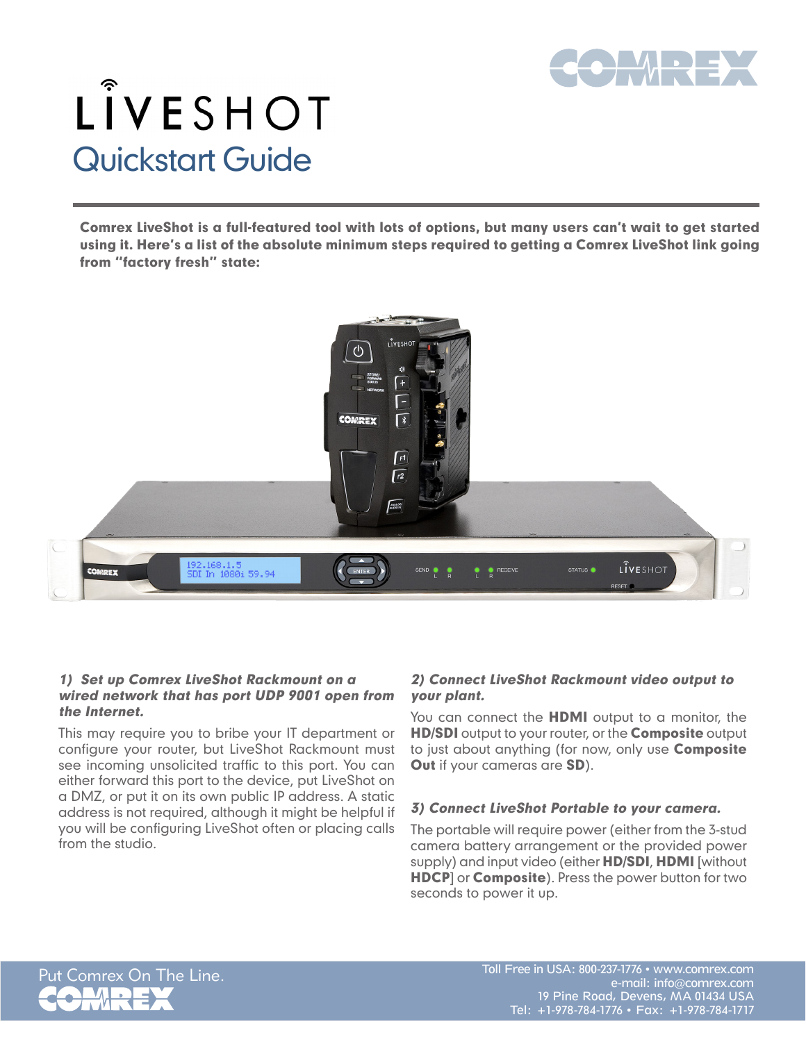

# LÎVESHOT Quickstart Guide

Comrex LiveShot is a full-featured tool with lots of options, but many users can't wait to get started using it. Here's a list of the absolute minimum steps required to getting a Comrex LiveShot link going from "factory fresh" state:



#### 1) Set up Comrex LiveShot Rackmount on a wired network that has port UDP 9001 open from the Internet.

This may require you to bribe your IT department or configure your router, but LiveShot Rackmount must see incoming unsolicited traffic to this port. You can either forward this port to the device, put LiveShot on a DMZ, or put it on its own public IP address. A static address is not required, although it might be helpful if you will be configuring LiveShot often or placing calls from the studio.

## 2) Connect LiveShot Rackmount video output to your plant.

You can connect the **HDMI** output to a monitor, the **HD/SDI** output to your router, or the **Composite** output to just about anything (for now, only use **Composite** Out if your cameras are SD).

## 3) Connect LiveShot Portable to your camera.

The portable will require power (either from the 3-stud camera battery arrangement or the provided power supply) and input video (either HD/SDI, HDMI [without **HDCP**] or **Composite**). Press the power button for two seconds to power it up.